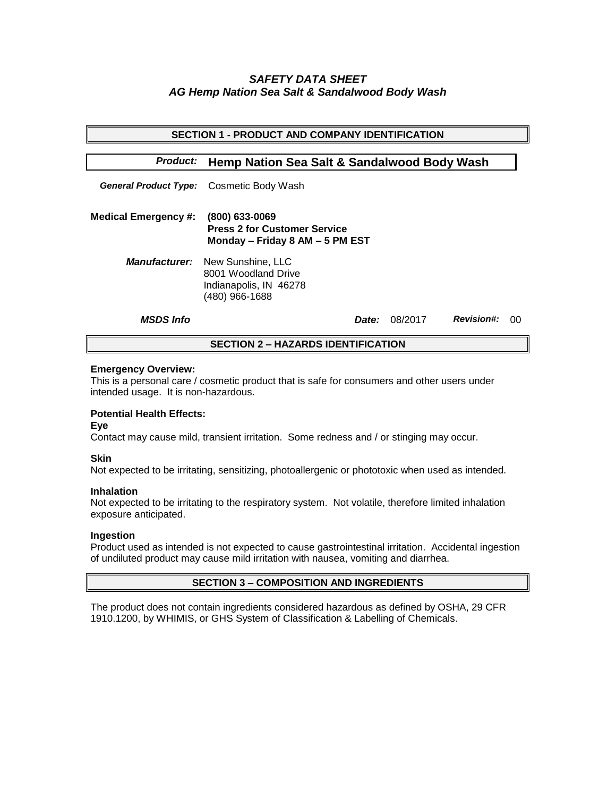# *SAFETY DATA SHEET AG Hemp Nation Sea Salt & Sandalwood Body Wash*

| <b>SECTION 1 - PRODUCT AND COMPANY IDENTIFICATION</b> |                                                                                                           |                                                |  |  |
|-------------------------------------------------------|-----------------------------------------------------------------------------------------------------------|------------------------------------------------|--|--|
| <b>Product:</b>                                       | <b>Hemp Nation Sea Salt &amp; Sandalwood Body Wash</b>                                                    |                                                |  |  |
|                                                       | General Product Type: Cosmetic Body Wash                                                                  |                                                |  |  |
| <b>Medical Emergency #:</b>                           | $(800)$ 633-0069<br><b>Press 2 for Customer Service</b><br>Monday - Friday 8 AM - 5 PM EST                |                                                |  |  |
|                                                       | <b>Manufacturer:</b> New Sunshine, LLC<br>8001 Woodland Drive<br>Indianapolis, IN 46278<br>(480) 966-1688 |                                                |  |  |
| <b>MSDS Info</b>                                      |                                                                                                           | <b>Revision#:</b><br><b>Date: 08/2017</b><br>ന |  |  |
| <b>SECTION 2 – HAZARDS IDENTIFICATION</b>             |                                                                                                           |                                                |  |  |

### **Emergency Overview:**

This is a personal care / cosmetic product that is safe for consumers and other users under intended usage. It is non-hazardous.

## **Potential Health Effects:**

**Eye**

Contact may cause mild, transient irritation. Some redness and / or stinging may occur.

## **Skin**

Not expected to be irritating, sensitizing, photoallergenic or phototoxic when used as intended.

#### **Inhalation**

Not expected to be irritating to the respiratory system. Not volatile, therefore limited inhalation exposure anticipated.

## **Ingestion**

Product used as intended is not expected to cause gastrointestinal irritation. Accidental ingestion of undiluted product may cause mild irritation with nausea, vomiting and diarrhea.

## **SECTION 3 – COMPOSITION AND INGREDIENTS**

The product does not contain ingredients considered hazardous as defined by OSHA, 29 CFR 1910.1200, by WHIMIS, or GHS System of Classification & Labelling of Chemicals.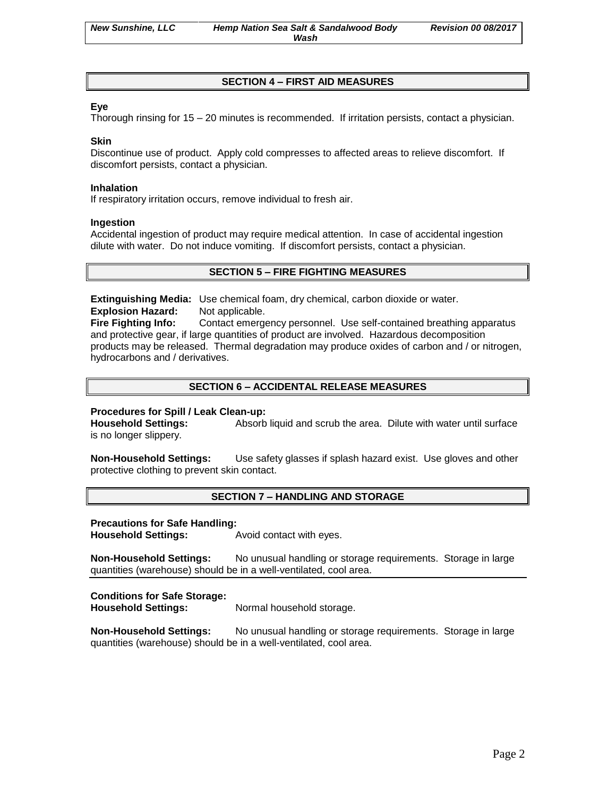# **SECTION 4 – FIRST AID MEASURES**

## **Eye**

Thorough rinsing for 15 – 20 minutes is recommended. If irritation persists, contact a physician.

### **Skin**

Discontinue use of product. Apply cold compresses to affected areas to relieve discomfort. If discomfort persists, contact a physician.

#### **Inhalation**

If respiratory irritation occurs, remove individual to fresh air.

### **Ingestion**

Accidental ingestion of product may require medical attention. In case of accidental ingestion dilute with water. Do not induce vomiting. If discomfort persists, contact a physician.

## **SECTION 5 – FIRE FIGHTING MEASURES**

**Extinguishing Media:** Use chemical foam, dry chemical, carbon dioxide or water. **Explosion Hazard:** Not applicable.

**Fire Fighting Info:** Contact emergency personnel. Use self-contained breathing apparatus and protective gear, if large quantities of product are involved. Hazardous decomposition products may be released. Thermal degradation may produce oxides of carbon and / or nitrogen, hydrocarbons and / derivatives.

# **SECTION 6 – ACCIDENTAL RELEASE MEASURES**

## **Procedures for Spill / Leak Clean-up:**

**Household Settings:** Absorb liquid and scrub the area. Dilute with water until surface is no longer slippery.

**Non-Household Settings:** Use safety glasses if splash hazard exist. Use gloves and other protective clothing to prevent skin contact.

## **SECTION 7 – HANDLING AND STORAGE**

#### **Precautions for Safe Handling:**

**Household Settings:** Avoid contact with eyes.

**Non-Household Settings:** No unusual handling or storage requirements. Storage in large quantities (warehouse) should be in a well-ventilated, cool area.

## **Conditions for Safe Storage:**

**Household Settings:** Normal household storage.

**Non-Household Settings:** No unusual handling or storage requirements. Storage in large quantities (warehouse) should be in a well-ventilated, cool area.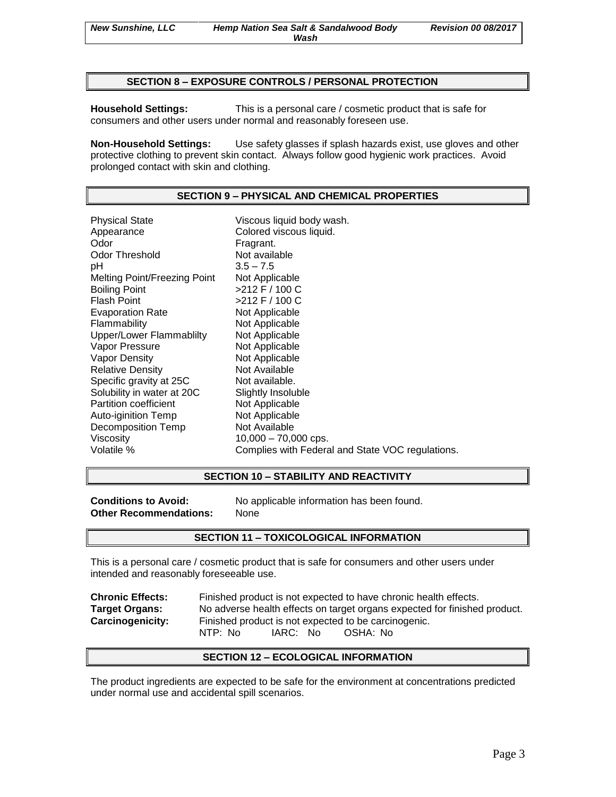### **SECTION 8 – EXPOSURE CONTROLS / PERSONAL PROTECTION**

**Household Settings:** This is a personal care / cosmetic product that is safe for consumers and other users under normal and reasonably foreseen use.

**Non-Household Settings:** Use safety glasses if splash hazards exist, use gloves and other protective clothing to prevent skin contact. Always follow good hygienic work practices. Avoid prolonged contact with skin and clothing.

### **SECTION 9 – PHYSICAL AND CHEMICAL PROPERTIES**

Physical State Viscous liquid body wash. Appearance **Colored viscous liquid.**<br>
Odor Colore Colore Colored Viscous liquid. Odor Threshold Not available pH 3.5 – 7.5 Melting Point/Freezing Point Not Applicable Boiling Point  $>212$  F / 100 C Flash Point  $>212$  F / 100 C Evaporation Rate Not Applicable Flammability Not Applicable Upper/Lower Flammablilty Not Applicable Vapor Pressure Not Applicable Vapor Density Not Applicable Relative Density Not Available Specific gravity at 25C Not available. Solubility in water at 20C Slightly Insoluble Partition coefficient Not Applicable Auto-iginition Temp Not Applicable Decomposition Temp Not Available Viscosity 10,000 – 70,000 cps.

Fragrant. Volatile % Complies with Federal and State VOC regulations.

### **SECTION 10 – STABILITY AND REACTIVITY**

**Other Recommendations:** None

**Conditions to Avoid:** No applicable information has been found.

## **SECTION 11 – TOXICOLOGICAL INFORMATION**

This is a personal care / cosmetic product that is safe for consumers and other users under intended and reasonably foreseeable use.

**Chronic Effects:** Finished product is not expected to have chronic health effects. **Target Organs:** No adverse health effects on target organs expected for finished product. **Carcinogenicity:** Finished product is not expected to be carcinogenic. NTP: No IARC: No OSHA: No

#### **SECTION 12 – ECOLOGICAL INFORMATION**

The product ingredients are expected to be safe for the environment at concentrations predicted under normal use and accidental spill scenarios.